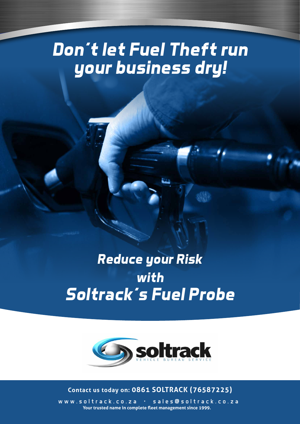# *Don't let Fuel Theft run your business dry!*

## *Reduce your Risk with Soltrack's Fuel Probe*



### **Contact us today on: 0861 SOLTRACK (76587225)**

www.soltrack.co.za • sales@soltrack.co.za **Your trusted name in complete fleet management since 1999.**